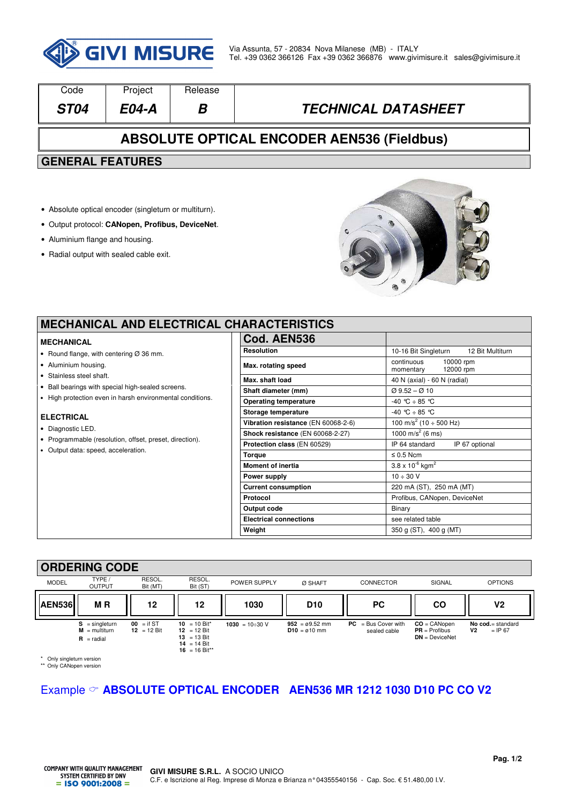

| Code                                                                                | Project      | Release |                            |  |  |  |  |
|-------------------------------------------------------------------------------------|--------------|---------|----------------------------|--|--|--|--|
| <b>ST04</b>                                                                         | <b>E04-A</b> | В       | <b>TECHNICAL DATASHEET</b> |  |  |  |  |
| <b>ABSOLUTE OPTICAL ENCODER AEN536 (Fieldbus)</b>                                   |              |         |                            |  |  |  |  |
| <b>GENERAL FEATURES</b>                                                             |              |         |                            |  |  |  |  |
| • Absolute optical encoder (singleturn or multiturn).                               |              |         |                            |  |  |  |  |
| • Output protocol: CANopen, Profibus, DeviceNet.<br>• Aluminium flange and housing. |              |         |                            |  |  |  |  |

• Radial output with sealed cable exit.



 $\overline{\phantom{0}}$ 

### **MECHANICAL AND ELECTRICAL CI**

#### **MECHANICAL**

- Round flange, with centering Ø 36 mm.
- Aluminium housing.
- Stainless steel shaft.
- Ball bearings with special high-sealed screens.
- High protection even in harsh environmental conditions.

#### **ELECTRICAL**

- Diagnostic LED.
- Programmable (resolution, offset, preset, direction).
- Output data: speed, acceleration.

| <b>HARACTERISTICS</b>               |                                                |  |  |  |  |
|-------------------------------------|------------------------------------------------|--|--|--|--|
| Cod. AEN536                         |                                                |  |  |  |  |
| <b>Resolution</b>                   | 10-16 Bit Singleturn 12 Bit Multiturn          |  |  |  |  |
| Max. rotating speed                 | continuous<br>10000 rpm<br>momentary 12000 rpm |  |  |  |  |
| Max. shaft load                     | 40 N (axial) - 60 N (radial)                   |  |  |  |  |
| Shaft diameter (mm)                 | $Q$ 9.52 – $Q$ 10                              |  |  |  |  |
| <b>Operating temperature</b>        | $-40$ °C $\div$ 85 °C                          |  |  |  |  |
| Storage temperature                 | $-40$ °C $\div$ 85 °C                          |  |  |  |  |
| Vibration resistance (EN 60068-2-6) | 100 m/s <sup>2</sup> (10 $\div$ 500 Hz)        |  |  |  |  |
| Shock resistance (EN 60068-2-27)    | 1000 m/s <sup>2</sup> (6 ms)                   |  |  |  |  |
| Protection class (EN 60529)         | IP 64 standard<br>IP 67 optional               |  |  |  |  |
| <b>Torque</b>                       | $\leq 0.5$ Ncm                                 |  |  |  |  |
| <b>Moment of inertia</b>            | $3.8 \times 10^{-6}$ kgm <sup>2</sup>          |  |  |  |  |
| Power supply                        | $10 \div 30 \text{ V}$                         |  |  |  |  |
| <b>Current consumption</b>          | 220 mA (ST), 250 mA (MT)                       |  |  |  |  |
| Protocol                            | Profibus, CANopen, DeviceNet                   |  |  |  |  |
| Output code                         | Binary                                         |  |  |  |  |
| <b>Electrical connections</b>       | see related table                              |  |  |  |  |
| Weight                              | 350 g (ST), 400 g (MT)                         |  |  |  |  |

## **ORDERING CODE**

|              | VIIDLIIIIN VVDL                                            |                               |                                                                                        |                      |                                             |                                       |                                                       |                                             |
|--------------|------------------------------------------------------------|-------------------------------|----------------------------------------------------------------------------------------|----------------------|---------------------------------------------|---------------------------------------|-------------------------------------------------------|---------------------------------------------|
| <b>MODEL</b> | TYPE/<br><b>OUTPUT</b>                                     | RESOL.<br>Bit (MT)            | RESOL.<br>Bit (ST)                                                                     | POWER SUPPLY         | Ø SHAFT                                     | <b>CONNECTOR</b>                      | SIGNAL                                                | <b>OPTIONS</b>                              |
| AEN536       | <b>MR</b>                                                  | 12                            | 12                                                                                     | 1030                 | D <sub>10</sub>                             | PC.                                   | <b>CO</b>                                             | ٧2                                          |
|              | $S =$ singleturn<br>$M = \text{multiturn}$<br>$R =$ radial | $00 = if ST$<br>$12 = 12$ Bit | 10 = 10 Bit*<br>$12 = 12 \text{ Bit}$<br>$13 = 13$ Bit<br>14 = 14 Bit<br>16 = 16 Bit** | 1030 = $10\div 30$ V | $952 = 09.52$ mm<br>$D10 = \emptyset 10$ mm | $PC = Bus Cover with$<br>sealed cable | $CO = CANopen$<br>$PR = Profibus$<br>$DN = DeviceNet$ | No cod.= standard<br><b>V2</b><br>$=$ IP 67 |

\* Only singleturn version \*\* Only CANopen version

# Example **ABSOLUTE OPTICAL ENCODER AEN536 MR 1212 1030 D10 PC CO V2**